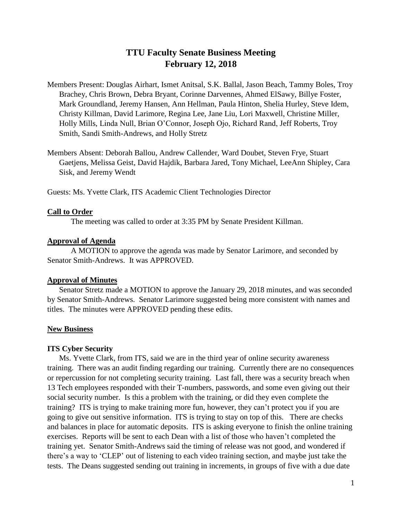# **TTU Faculty Senate Business Meeting February 12, 2018**

- Members Present: Douglas Airhart, Ismet Anitsal, S.K. Ballal, Jason Beach, Tammy Boles, Troy Brachey, Chris Brown, Debra Bryant, Corinne Darvennes, Ahmed ElSawy, Billye Foster, Mark Groundland, Jeremy Hansen, Ann Hellman, Paula Hinton, Shelia Hurley, Steve Idem, Christy Killman, David Larimore, Regina Lee, Jane Liu, Lori Maxwell, Christine Miller, Holly Mills, Linda Null, Brian O'Connor, Joseph Ojo, Richard Rand, Jeff Roberts, Troy Smith, Sandi Smith-Andrews, and Holly Stretz
- Members Absent: Deborah Ballou, Andrew Callender, Ward Doubet, Steven Frye, Stuart Gaetjens, Melissa Geist, David Hajdik, Barbara Jared, Tony Michael, LeeAnn Shipley, Cara Sisk, and Jeremy Wendt

Guests: Ms. Yvette Clark, ITS Academic Client Technologies Director

### **Call to Order**

The meeting was called to order at 3:35 PM by Senate President Killman.

### **Approval of Agenda**

A MOTION to approve the agenda was made by Senator Larimore, and seconded by Senator Smith-Andrews. It was APPROVED.

#### **Approval of Minutes**

Senator Stretz made a MOTION to approve the January 29, 2018 minutes, and was seconded by Senator Smith-Andrews. Senator Larimore suggested being more consistent with names and titles. The minutes were APPROVED pending these edits.

### **New Business**

#### **ITS Cyber Security**

Ms. Yvette Clark, from ITS, said we are in the third year of online security awareness training. There was an audit finding regarding our training. Currently there are no consequences or repercussion for not completing security training. Last fall, there was a security breach when 13 Tech employees responded with their T-numbers, passwords, and some even giving out their social security number. Is this a problem with the training, or did they even complete the training? ITS is trying to make training more fun, however, they can't protect you if you are going to give out sensitive information. ITS is trying to stay on top of this. There are checks and balances in place for automatic deposits. ITS is asking everyone to finish the online training exercises. Reports will be sent to each Dean with a list of those who haven't completed the training yet. Senator Smith-Andrews said the timing of release was not good, and wondered if there's a way to 'CLEP' out of listening to each video training section, and maybe just take the tests. The Deans suggested sending out training in increments, in groups of five with a due date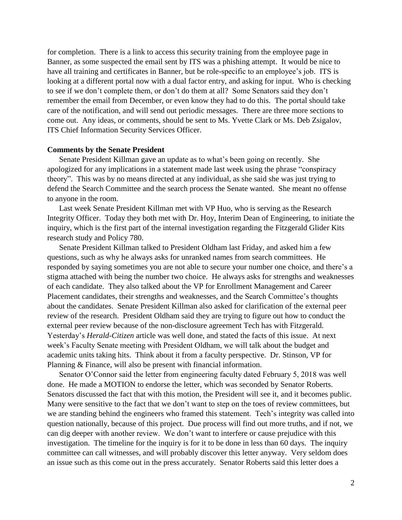for completion. There is a link to access this security training from the employee page in Banner, as some suspected the email sent by ITS was a phishing attempt. It would be nice to have all training and certificates in Banner, but be role-specific to an employee's job. ITS is looking at a different portal now with a dual factor entry, and asking for input. Who is checking to see if we don't complete them, or don't do them at all? Some Senators said they don't remember the email from December, or even know they had to do this. The portal should take care of the notification, and will send out periodic messages. There are three more sections to come out. Any ideas, or comments, should be sent to Ms. Yvette Clark or Ms. Deb Zsigalov, ITS Chief Information Security Services Officer.

### **Comments by the Senate President**

Senate President Killman gave an update as to what's been going on recently. She apologized for any implications in a statement made last week using the phrase "conspiracy theory". This was by no means directed at any individual, as she said she was just trying to defend the Search Committee and the search process the Senate wanted. She meant no offense to anyone in the room.

Last week Senate President Killman met with VP Huo, who is serving as the Research Integrity Officer. Today they both met with Dr. Hoy, Interim Dean of Engineering, to initiate the inquiry, which is the first part of the internal investigation regarding the Fitzgerald Glider Kits research study and Policy 780.

Senate President Killman talked to President Oldham last Friday, and asked him a few questions, such as why he always asks for unranked names from search committees. He responded by saying sometimes you are not able to secure your number one choice, and there's a stigma attached with being the number two choice. He always asks for strengths and weaknesses of each candidate. They also talked about the VP for Enrollment Management and Career Placement candidates, their strengths and weaknesses, and the Search Committee's thoughts about the candidates. Senate President Killman also asked for clarification of the external peer review of the research. President Oldham said they are trying to figure out how to conduct the external peer review because of the non-disclosure agreement Tech has with Fitzgerald. Yesterday's *Herald-Citizen* article was well done, and stated the facts of this issue. At next week's Faculty Senate meeting with President Oldham, we will talk about the budget and academic units taking hits. Think about it from a faculty perspective. Dr. Stinson, VP for Planning & Finance, will also be present with financial information.

Senator O'Connor said the letter from engineering faculty dated February 5, 2018 was well done. He made a MOTION to endorse the letter, which was seconded by Senator Roberts. Senators discussed the fact that with this motion, the President will see it, and it becomes public. Many were sensitive to the fact that we don't want to step on the toes of review committees, but we are standing behind the engineers who framed this statement. Tech's integrity was called into question nationally, because of this project. Due process will find out more truths, and if not, we can dig deeper with another review. We don't want to interfere or cause prejudice with this investigation. The timeline for the inquiry is for it to be done in less than 60 days. The inquiry committee can call witnesses, and will probably discover this letter anyway. Very seldom does an issue such as this come out in the press accurately. Senator Roberts said this letter does a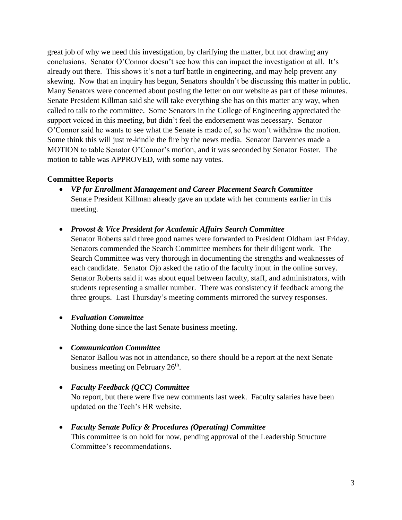great job of why we need this investigation, by clarifying the matter, but not drawing any conclusions. Senator O'Connor doesn't see how this can impact the investigation at all. It's already out there. This shows it's not a turf battle in engineering, and may help prevent any skewing. Now that an inquiry has begun, Senators shouldn't be discussing this matter in public. Many Senators were concerned about posting the letter on our website as part of these minutes. Senate President Killman said she will take everything she has on this matter any way, when called to talk to the committee. Some Senators in the College of Engineering appreciated the support voiced in this meeting, but didn't feel the endorsement was necessary. Senator O'Connor said he wants to see what the Senate is made of, so he won't withdraw the motion. Some think this will just re-kindle the fire by the news media. Senator Darvennes made a MOTION to table Senator O'Connor's motion, and it was seconded by Senator Foster. The motion to table was APPROVED, with some nay votes.

## **Committee Reports**

- *VP for Enrollment Management and Career Placement Search Committee* Senate President Killman already gave an update with her comments earlier in this meeting.
- *Provost & Vice President for Academic Affairs Search Committee*
	- Senator Roberts said three good names were forwarded to President Oldham last Friday. Senators commended the Search Committee members for their diligent work. The Search Committee was very thorough in documenting the strengths and weaknesses of each candidate. Senator Ojo asked the ratio of the faculty input in the online survey. Senator Roberts said it was about equal between faculty, staff, and administrators, with students representing a smaller number. There was consistency if feedback among the three groups. Last Thursday's meeting comments mirrored the survey responses.

## *Evaluation Committee*

Nothing done since the last Senate business meeting.

*Communication Committee*

Senator Ballou was not in attendance, so there should be a report at the next Senate business meeting on February 26<sup>th</sup>.

## *Faculty Feedback (QCC) Committee*

No report, but there were five new comments last week. Faculty salaries have been updated on the Tech's HR website.

## *Faculty Senate Policy & Procedures (Operating) Committee*

This committee is on hold for now, pending approval of the Leadership Structure Committee's recommendations.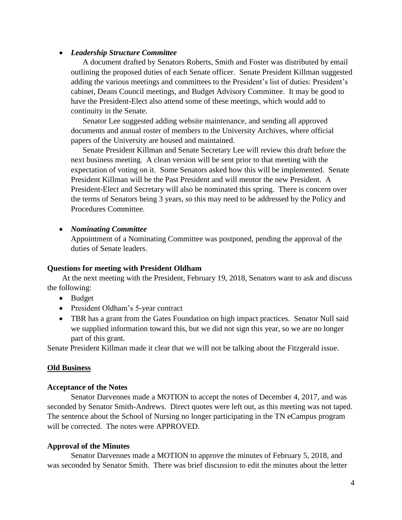## *Leadership Structure Committee*

A document drafted by Senators Roberts, Smith and Foster was distributed by email outlining the proposed duties of each Senate officer. Senate President Killman suggested adding the various meetings and committees to the President's list of duties: President's cabinet, Deans Council meetings, and Budget Advisory Committee. It may be good to have the President-Elect also attend some of these meetings, which would add to continuity in the Senate.

Senator Lee suggested adding website maintenance, and sending all approved documents and annual roster of members to the University Archives, where official papers of the University are housed and maintained.

Senate President Killman and Senate Secretary Lee will review this draft before the next business meeting. A clean version will be sent prior to that meeting with the expectation of voting on it. Some Senators asked how this will be implemented. Senate President Killman will be the Past President and will mentor the new President. A President-Elect and Secretary will also be nominated this spring. There is concern over the terms of Senators being 3 years, so this may need to be addressed by the Policy and Procedures Committee.

## *Nominating Committee*

Appointment of a Nominating Committee was postponed, pending the approval of the duties of Senate leaders.

### **Questions for meeting with President Oldham**

At the next meeting with the President, February 19, 2018, Senators want to ask and discuss the following:

- Budget
- President Oldham's 5-year contract
- TBR has a grant from the Gates Foundation on high impact practices. Senator Null said we supplied information toward this, but we did not sign this year, so we are no longer part of this grant.

Senate President Killman made it clear that we will not be talking about the Fitzgerald issue.

### **Old Business**

### **Acceptance of the Notes**

Senator Darvennes made a MOTION to accept the notes of December 4, 2017, and was seconded by Senator Smith-Andrews. Direct quotes were left out, as this meeting was not taped. The sentence about the School of Nursing no longer participating in the TN eCampus program will be corrected. The notes were APPROVED.

## **Approval of the Minutes**

Senator Darvennes made a MOTION to approve the minutes of February 5, 2018, and was seconded by Senator Smith. There was brief discussion to edit the minutes about the letter